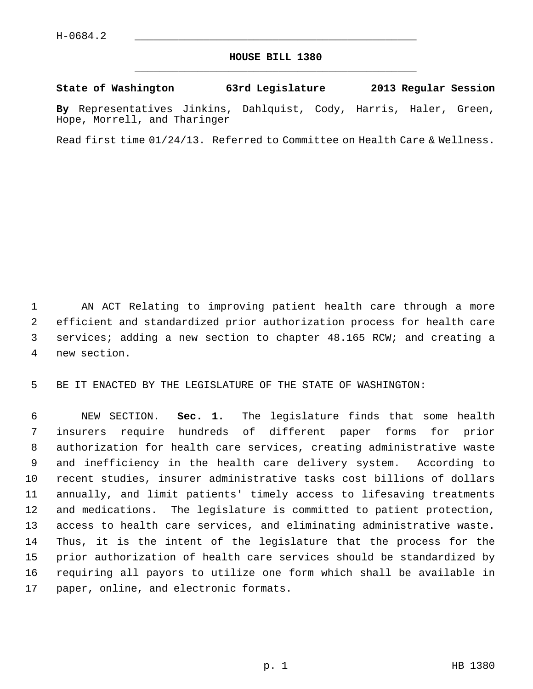## **HOUSE BILL 1380** \_\_\_\_\_\_\_\_\_\_\_\_\_\_\_\_\_\_\_\_\_\_\_\_\_\_\_\_\_\_\_\_\_\_\_\_\_\_\_\_\_\_\_\_\_

## **State of Washington 63rd Legislature 2013 Regular Session**

**By** Representatives Jinkins, Dahlquist, Cody, Harris, Haler, Green, Hope, Morrell, and Tharinger

Read first time 01/24/13. Referred to Committee on Health Care & Wellness.

 1 AN ACT Relating to improving patient health care through a more 2 efficient and standardized prior authorization process for health care 3 services; adding a new section to chapter 48.165 RCW; and creating a 4 new section.

5 BE IT ENACTED BY THE LEGISLATURE OF THE STATE OF WASHINGTON:

 6 NEW SECTION. **Sec. 1.** The legislature finds that some health 7 insurers require hundreds of different paper forms for prior 8 authorization for health care services, creating administrative waste 9 and inefficiency in the health care delivery system. According to 10 recent studies, insurer administrative tasks cost billions of dollars 11 annually, and limit patients' timely access to lifesaving treatments 12 and medications. The legislature is committed to patient protection, 13 access to health care services, and eliminating administrative waste. 14 Thus, it is the intent of the legislature that the process for the 15 prior authorization of health care services should be standardized by 16 requiring all payors to utilize one form which shall be available in 17 paper, online, and electronic formats.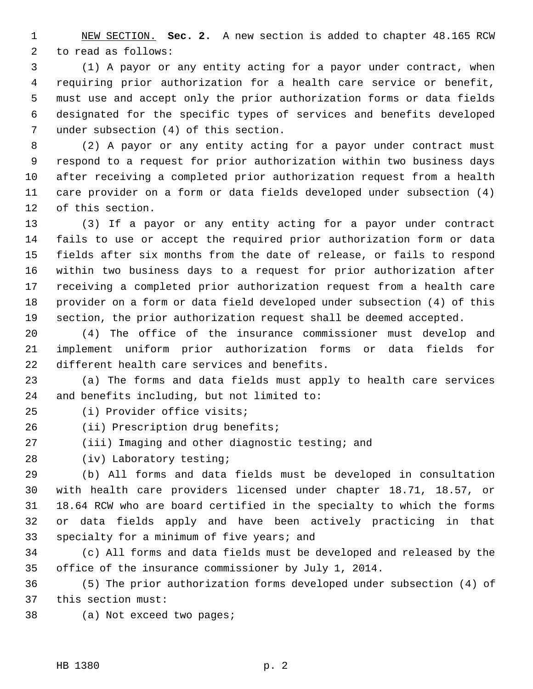1 NEW SECTION. **Sec. 2.** A new section is added to chapter 48.165 RCW 2 to read as follows:

 3 (1) A payor or any entity acting for a payor under contract, when 4 requiring prior authorization for a health care service or benefit, 5 must use and accept only the prior authorization forms or data fields 6 designated for the specific types of services and benefits developed 7 under subsection (4) of this section.

 8 (2) A payor or any entity acting for a payor under contract must 9 respond to a request for prior authorization within two business days 10 after receiving a completed prior authorization request from a health 11 care provider on a form or data fields developed under subsection (4) 12 of this section.

13 (3) If a payor or any entity acting for a payor under contract 14 fails to use or accept the required prior authorization form or data 15 fields after six months from the date of release, or fails to respond 16 within two business days to a request for prior authorization after 17 receiving a completed prior authorization request from a health care 18 provider on a form or data field developed under subsection (4) of this 19 section, the prior authorization request shall be deemed accepted.

20 (4) The office of the insurance commissioner must develop and 21 implement uniform prior authorization forms or data fields for 22 different health care services and benefits.

23 (a) The forms and data fields must apply to health care services 24 and benefits including, but not limited to:

25 (i) Provider office visits;

26 (ii) Prescription drug benefits;

27 (iii) Imaging and other diagnostic testing; and

28 (iv) Laboratory testing;

29 (b) All forms and data fields must be developed in consultation 30 with health care providers licensed under chapter 18.71, 18.57, or 31 18.64 RCW who are board certified in the specialty to which the forms 32 or data fields apply and have been actively practicing in that 33 specialty for a minimum of five years; and

34 (c) All forms and data fields must be developed and released by the 35 office of the insurance commissioner by July 1, 2014.

36 (5) The prior authorization forms developed under subsection (4) of 37 this section must:

38 (a) Not exceed two pages;